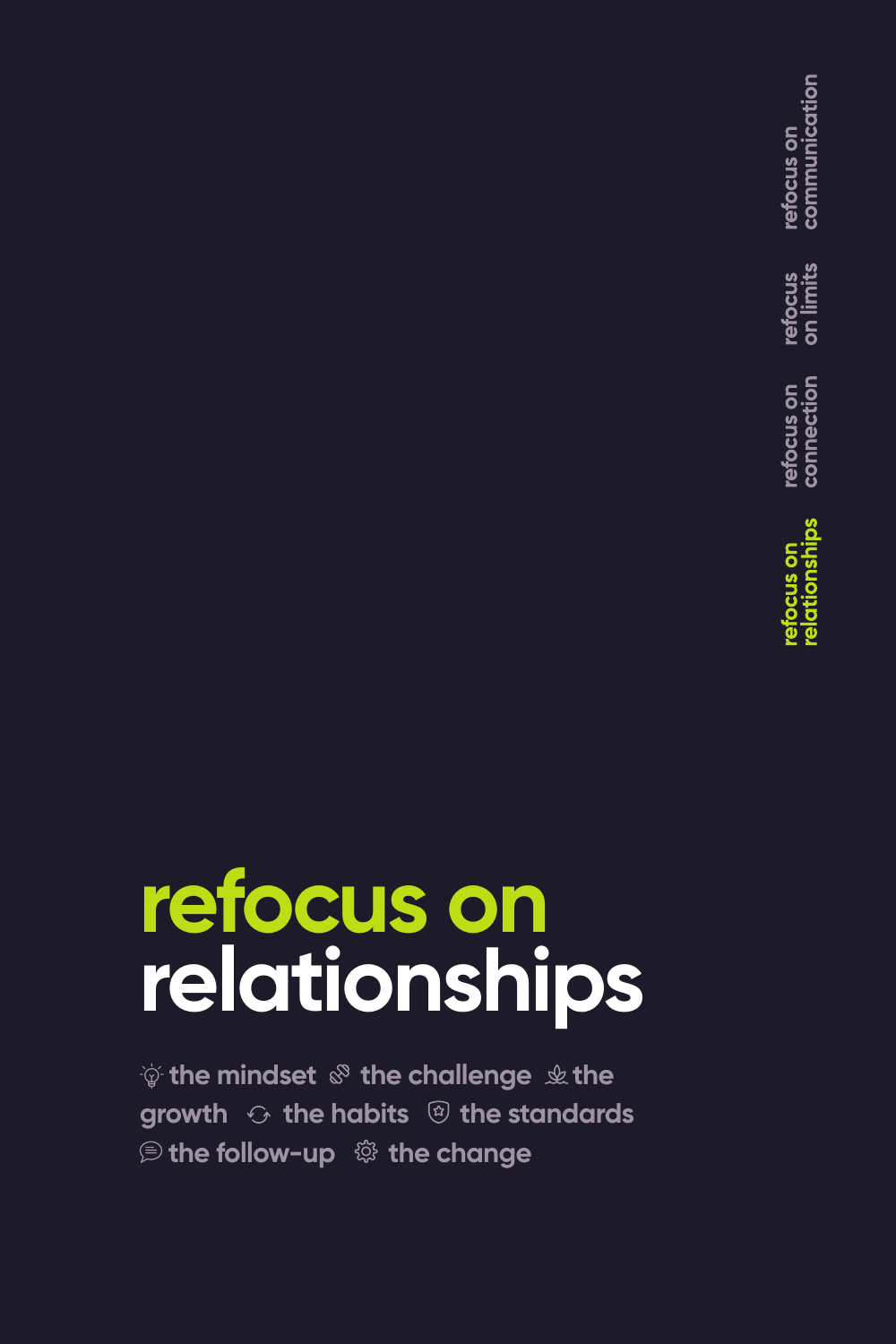communication refocus on refocus<br>on limits refocus on<br>connection

# **refocus on relationships**

 $\psi$  the mindset  $\mathcal{F}$  the challenge  $\psi$  the **growth**  $\odot$  **the habits**  $\circledR$  **the standards** *<b>B* the follow-up  $\otimes$  the change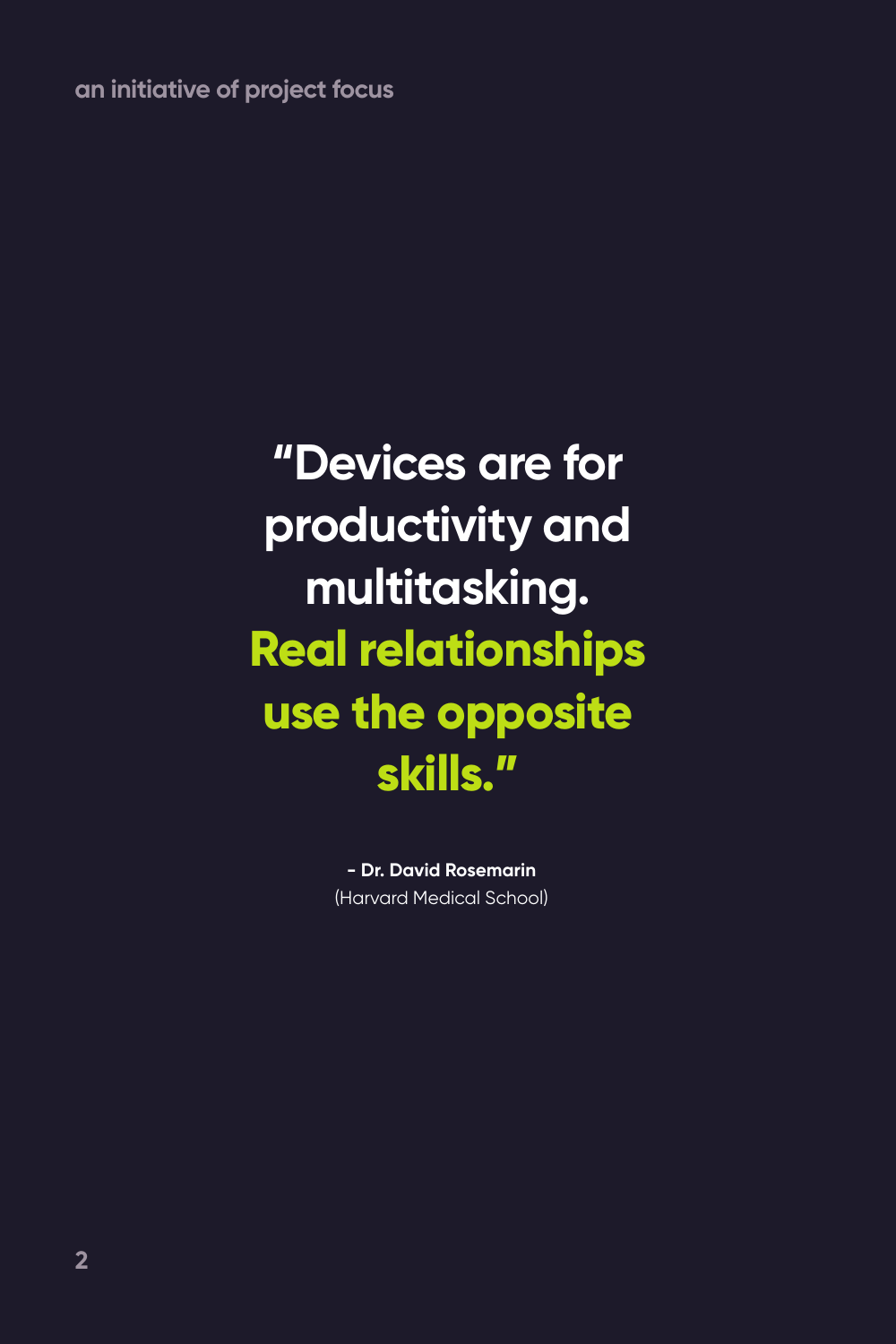**an initiative of project focus**

### **"Devices are for productivity and multitasking. Real relationships use the opposite skills."**

**- Dr. David Rosemarin** (Harvard Medical School)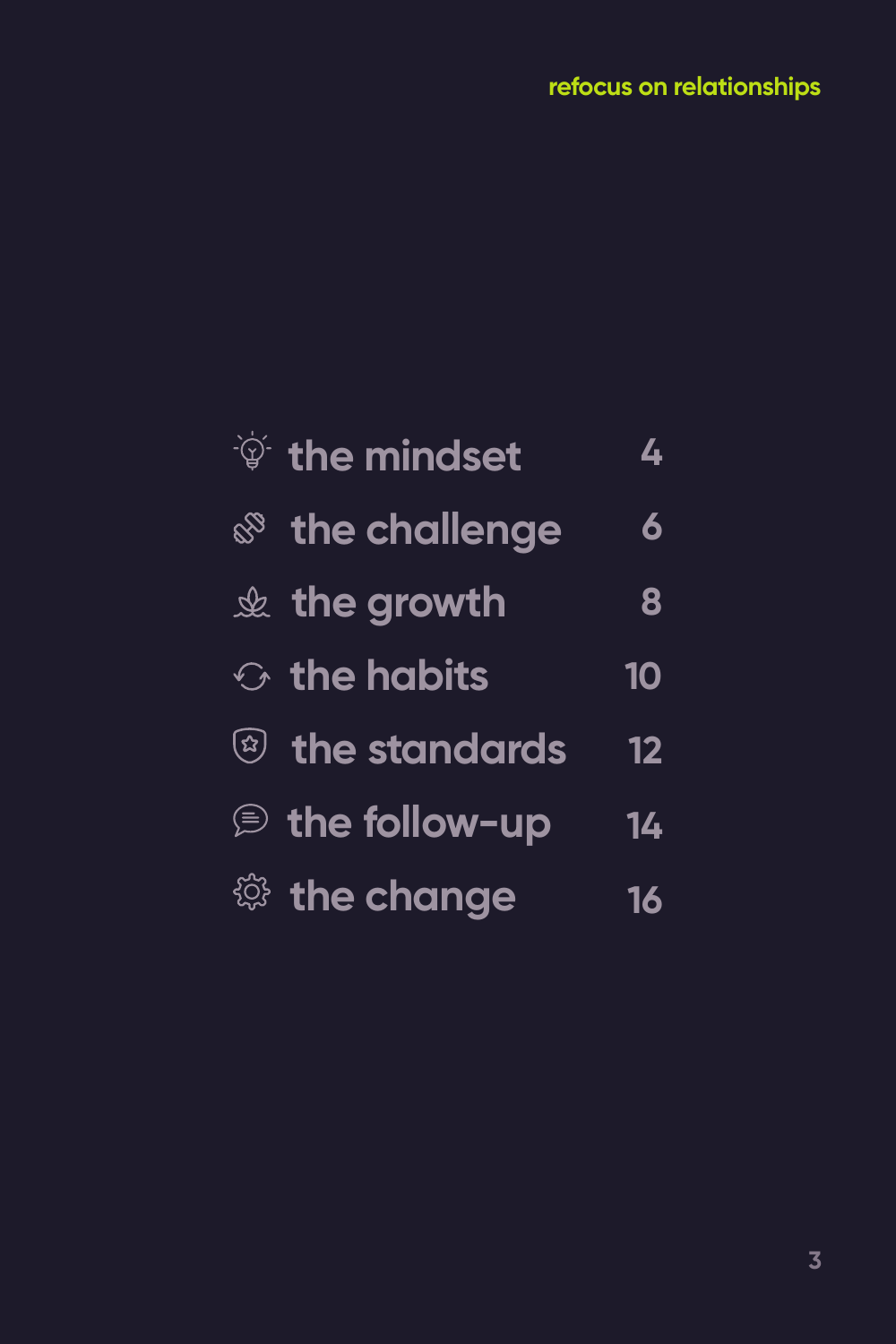| <b>V</b> the mindset       | $\boldsymbol{L}$ |
|----------------------------|------------------|
| <b>&amp; the challenge</b> | 6                |
| $\&$ the growth            | 8                |
| $\odot$ the habits         | 10               |
| $\circledR$ the standards  | 12               |
| $\circledR$ the follow-up  | 14               |
| <sup>@</sup> the change    | 16               |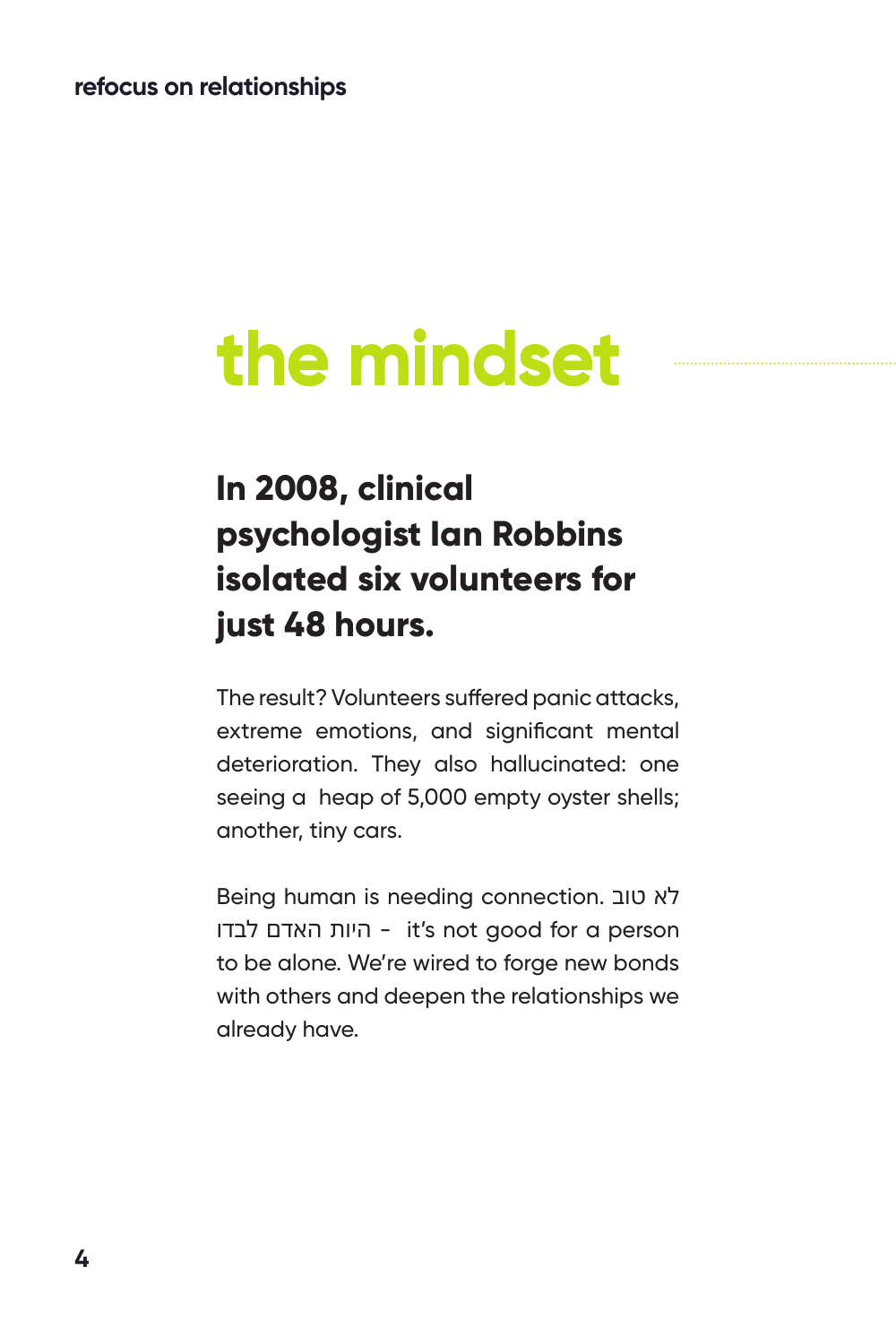# **the mindset**

### **In 2008, clinical psychologist Ian Robbins isolated six volunteers for just 48 hours.**

The result? Volunteers suffered panic attacks, extreme emotions, and significant mental deterioration. They also hallucinated: one seeing a heap of 5,000 empty oyster shells; another, tiny cars.

Being human is needing connection. טוב לא לבדו האדם היות - it's not good for a person to be alone. We're wired to forge new bonds with others and deepen the relationships we already have.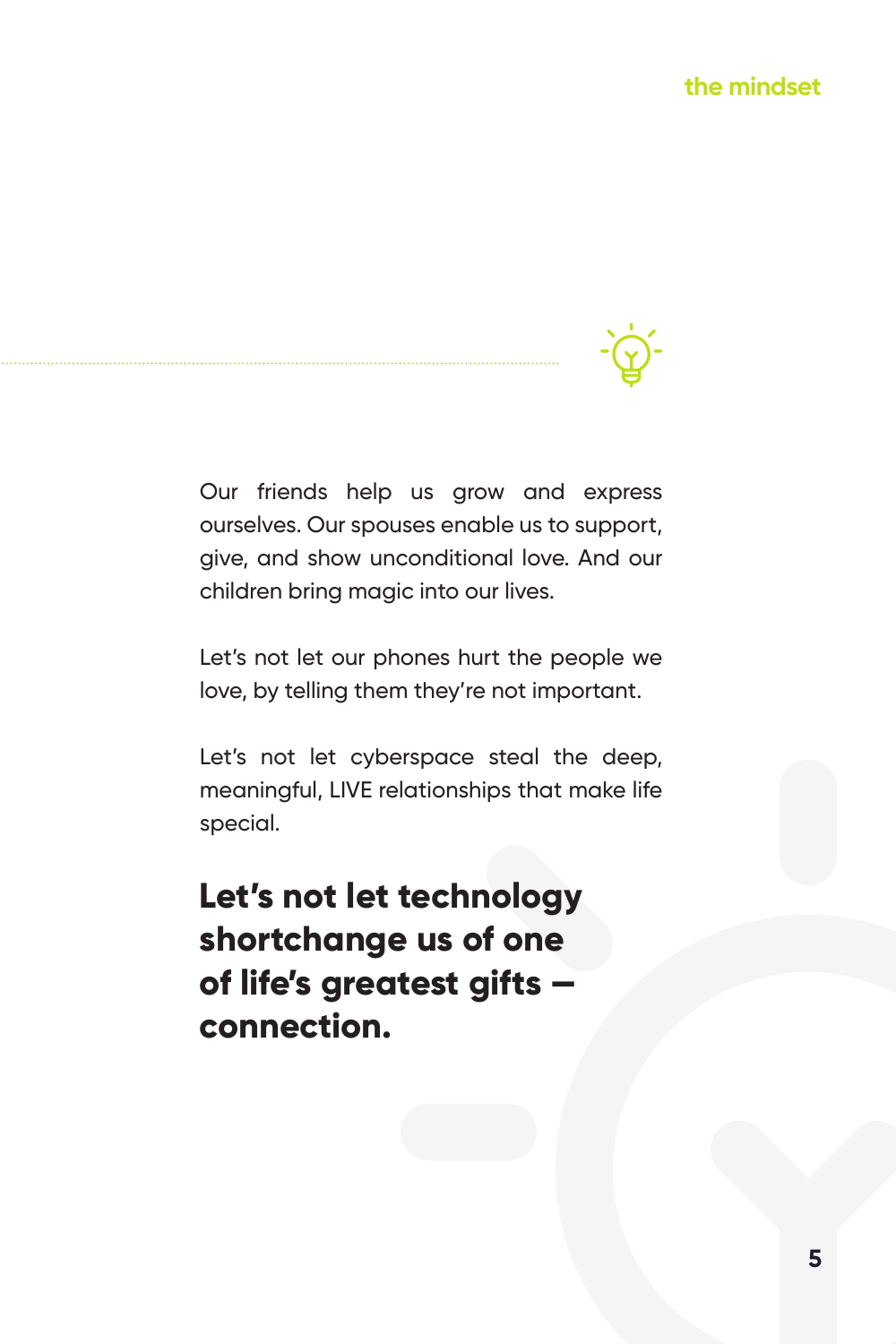Our friends help us grow and express ourselves. Our spouses enable us to support, give, and show unconditional love. And our children bring magic into our lives.

Let's not let our phones hurt the people we love, by telling them they're not important.

Let's not let cyberspace steal the deep, meaningful, LIVE relationships that make life special.

**Let's not let technology shortchange us of one of life's greatest gifts connection.**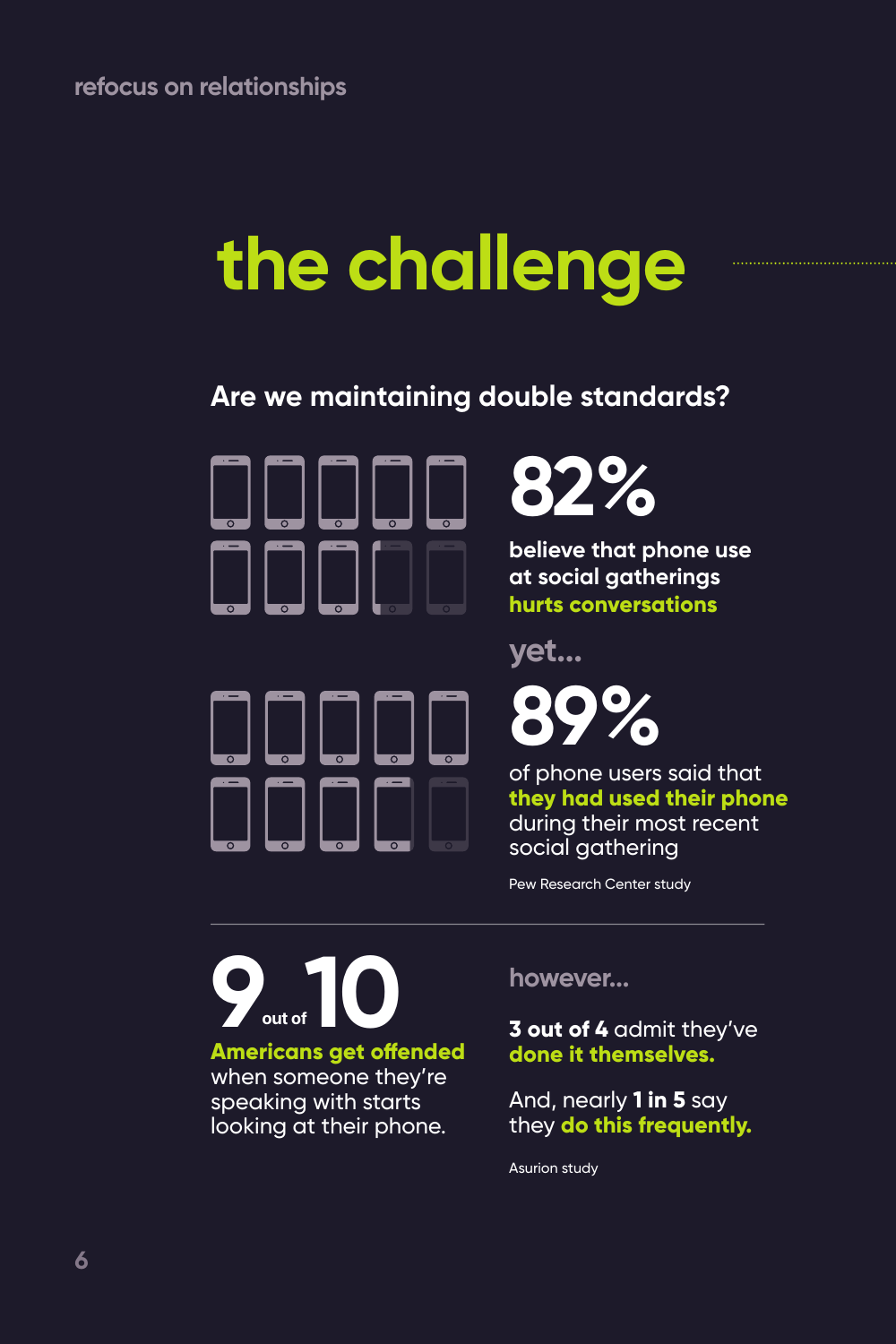## **the challenge**

#### **Are we maintaining double standards?**







**believe that phone use at social gatherings hurts conversations**

**yet...**

**89%**

of phone users said that **they had used their phone**  during their most recent social gathering

Pew Research Center study

**Americans get offended**  when someone they're **9** out of

speaking with starts looking at their phone. **however...**

**3 out of 4** admit they've **done it themselves.** 

And, nearly **1 in 5** say they **do this frequently.**

Asurion study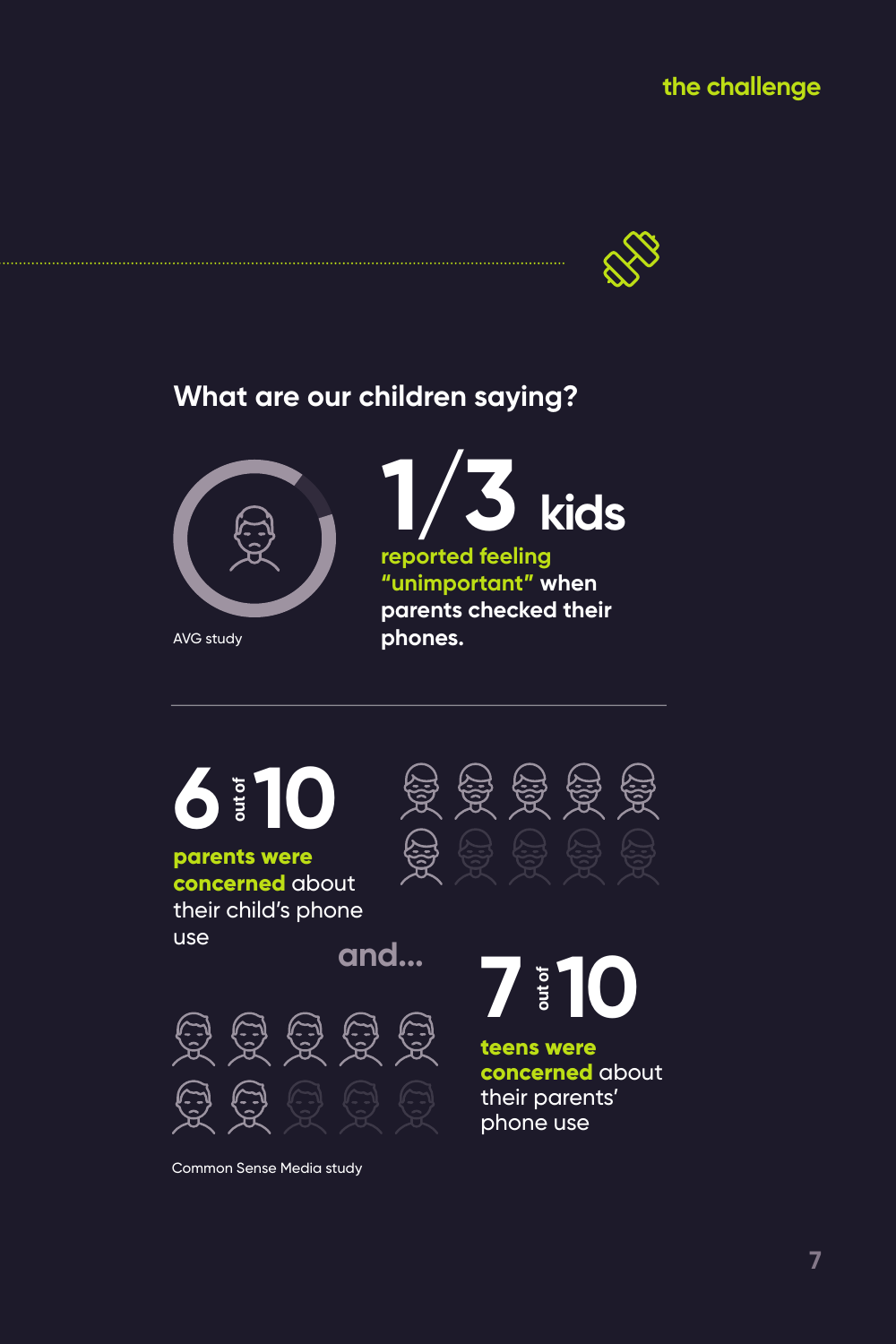#### **the challenge**



#### **What are our children saying?**



AVG study



**reported feeling "unimportant" when parents checked their phones.**



Common Sense Media study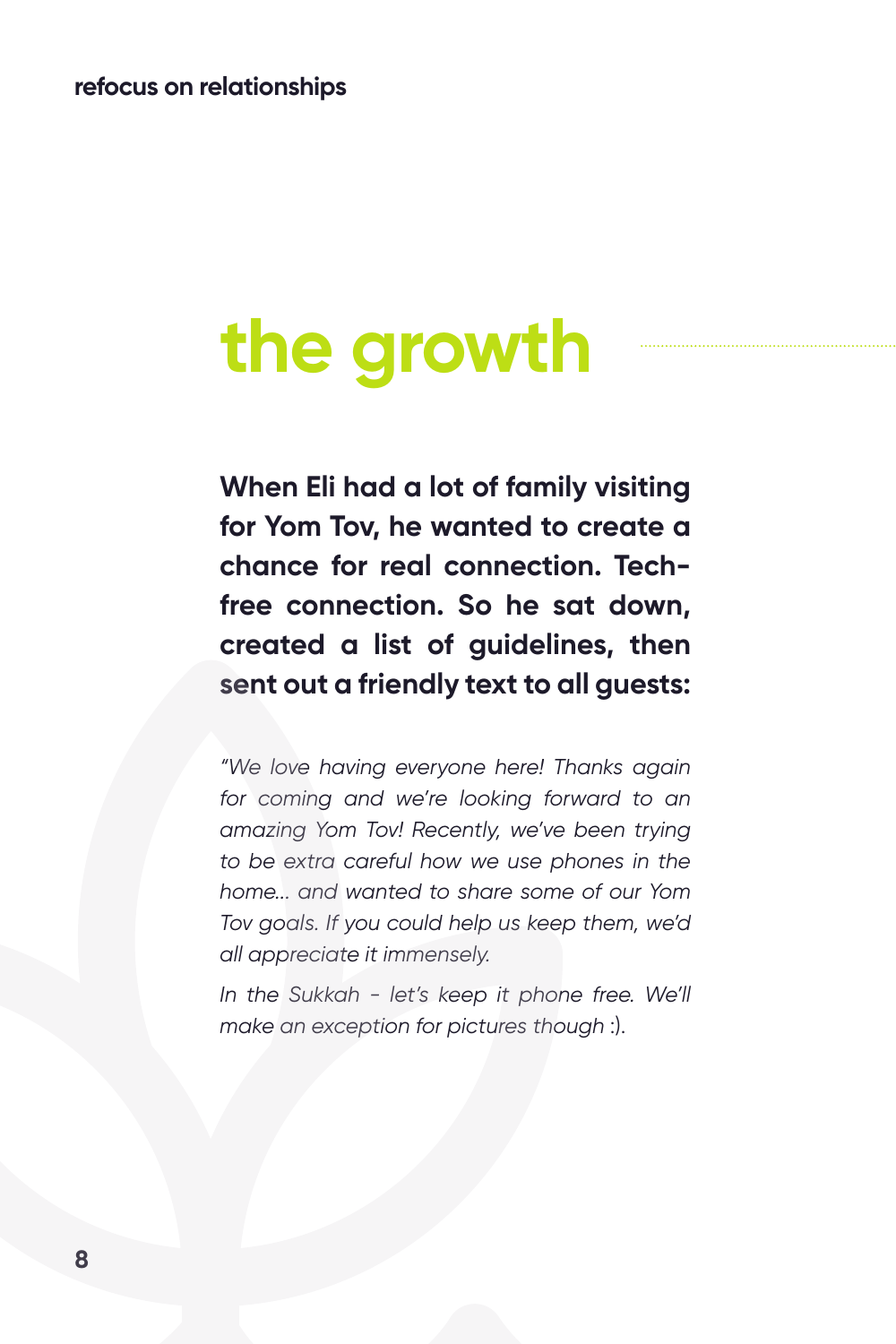## **the growth**

**When Eli had a lot of family visiting for Yom Tov, he wanted to create a chance for real connection. Techfree connection. So he sat down, created a list of guidelines, then sent out a friendly text to all guests:**

*"We love having everyone here! Thanks again for coming and we're looking forward to an amazing Yom Tov! Recently, we've been trying to be extra careful how we use phones in the home... and wanted to share some of our Yom Tov goals. If you could help us keep them, we'd all appreciate it immensely.*

*In the Sukkah - let's keep it phone free. We'll make an exception for pictures though* :).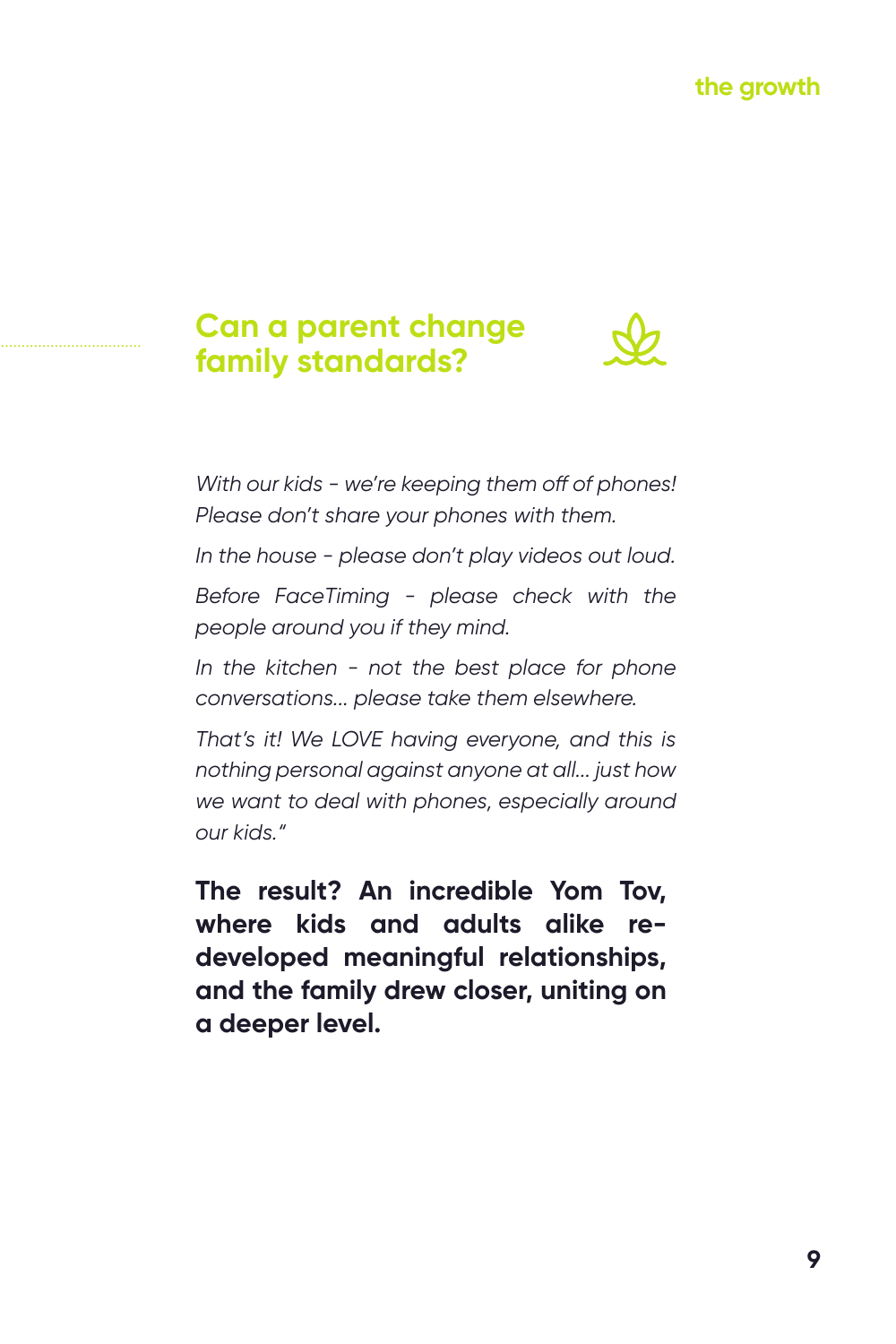#### **Can a parent change family standards?**



*With our kids - we're keeping them off of phones! Please don't share your phones with them.* 

*In the house - please don't play videos out loud.* 

*Before FaceTiming - please check with the people around you if they mind.* 

*In the kitchen - not the best place for phone conversations... please take them elsewhere.* 

*That's it! We LOVE having everyone, and this is nothing personal against anyone at all... just how we want to deal with phones, especially around our kids."*

**The result? An incredible Yom Tov, where kids and adults alike redeveloped meaningful relationships, and the family drew closer, uniting on a deeper level.**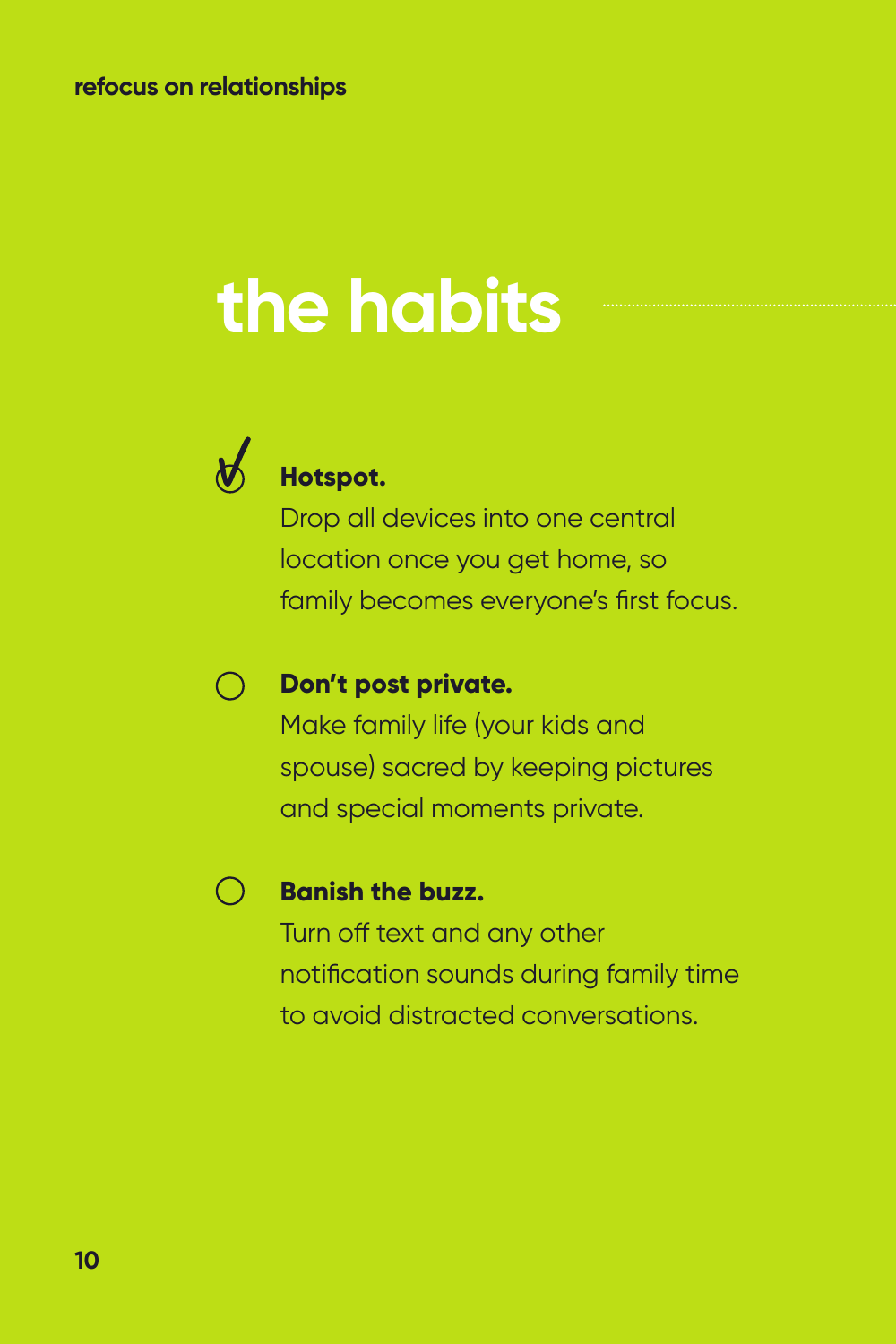## **the habits**



#### **Hotspot.**

Drop all devices into one central location once you get home, so family becomes everyone's first focus.

#### **Don't post private.**  $\bigcirc$

Make family life (your kids and spouse) sacred by keeping pictures and special moments private.

#### $\bigcap$

#### **Banish the buzz.**

Turn off text and any other notification sounds during family time to avoid distracted conversations.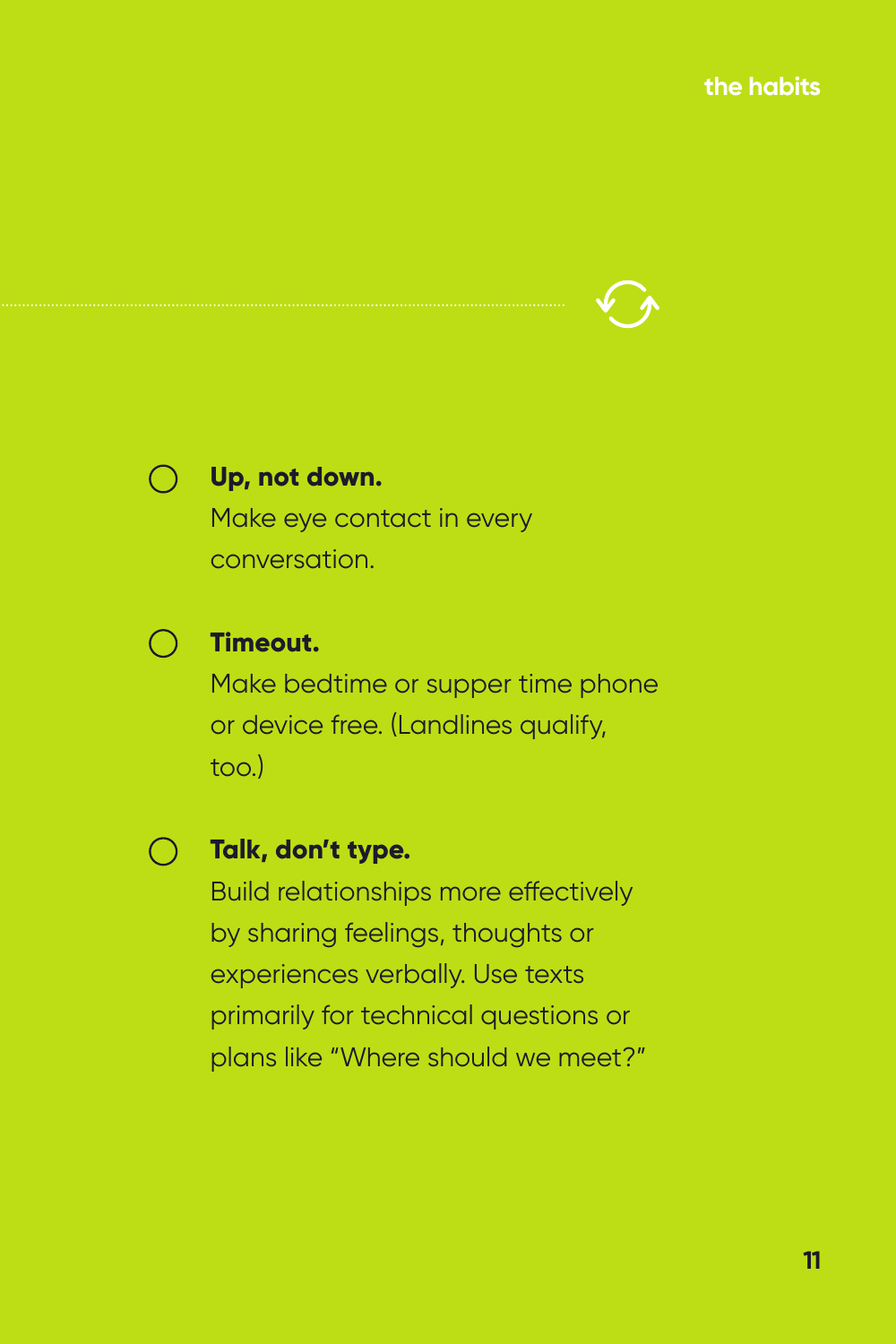**the habits**





#### **Up, not down.**

Make eye contact in every conversation.



#### **Timeout.**

Make bedtime or supper time phone or device free. (Landlines qualify, too.)

**Talk, don't type.**

Build relationships more effectively by sharing feelings, thoughts or experiences verbally. Use texts primarily for technical questions or plans like "Where should we meet?"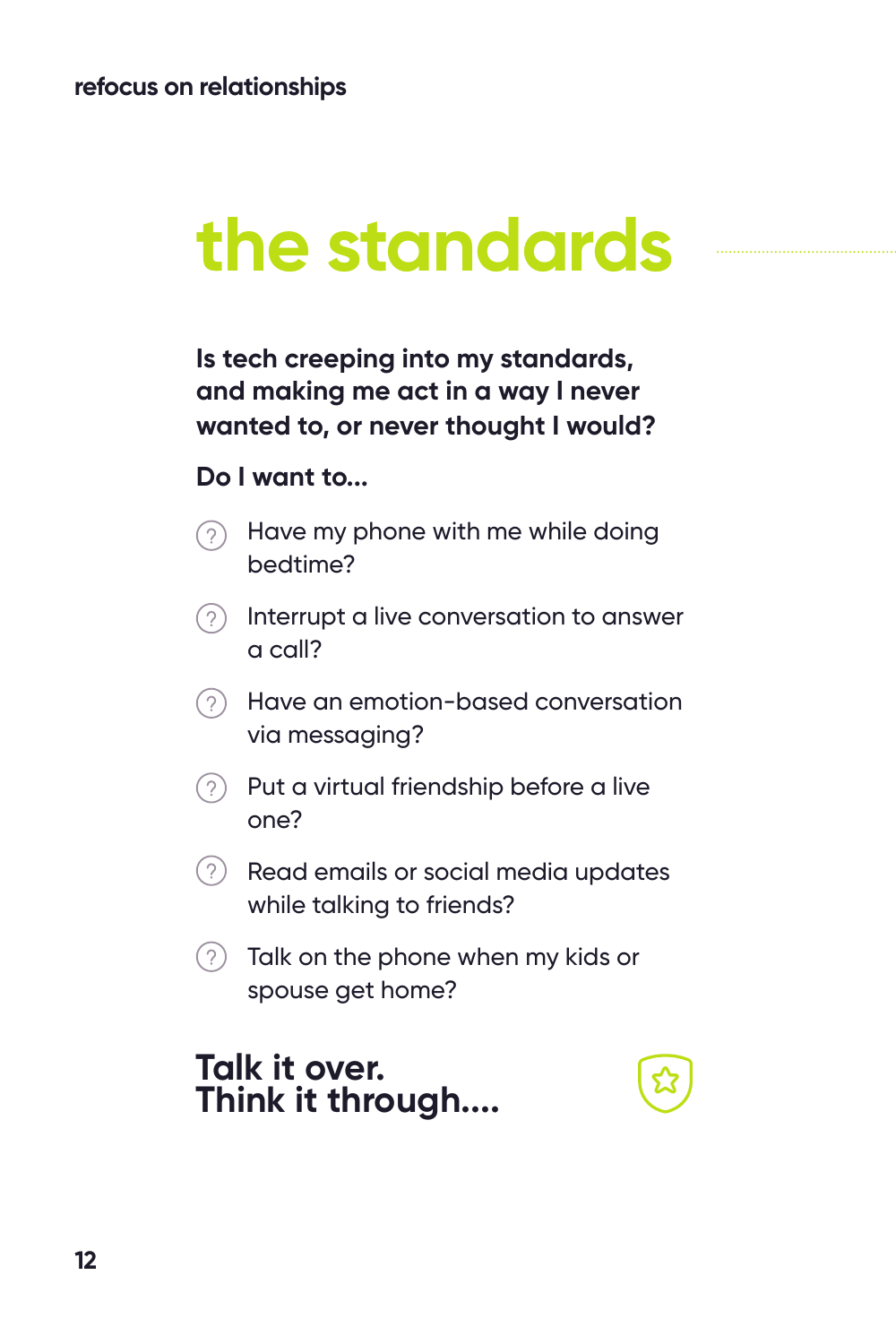## **the standards**

**Is tech creeping into my standards, and making me act in a way I never wanted to, or never thought I would?** 

#### **Do I want to...**

- Have my phone with me while doing  $(2)$ bedtime?
- $\Omega$  Interrupt a live conversation to answer a call?
- Have an emotion-based conversation via messaging?
- $\odot$  Put a virtual friendship before a live one?
- $(2)$  Read emails or social media updates while talking to friends?
- $(2)$  Talk on the phone when my kids or spouse get home?

#### **Talk it over. Think it through....**

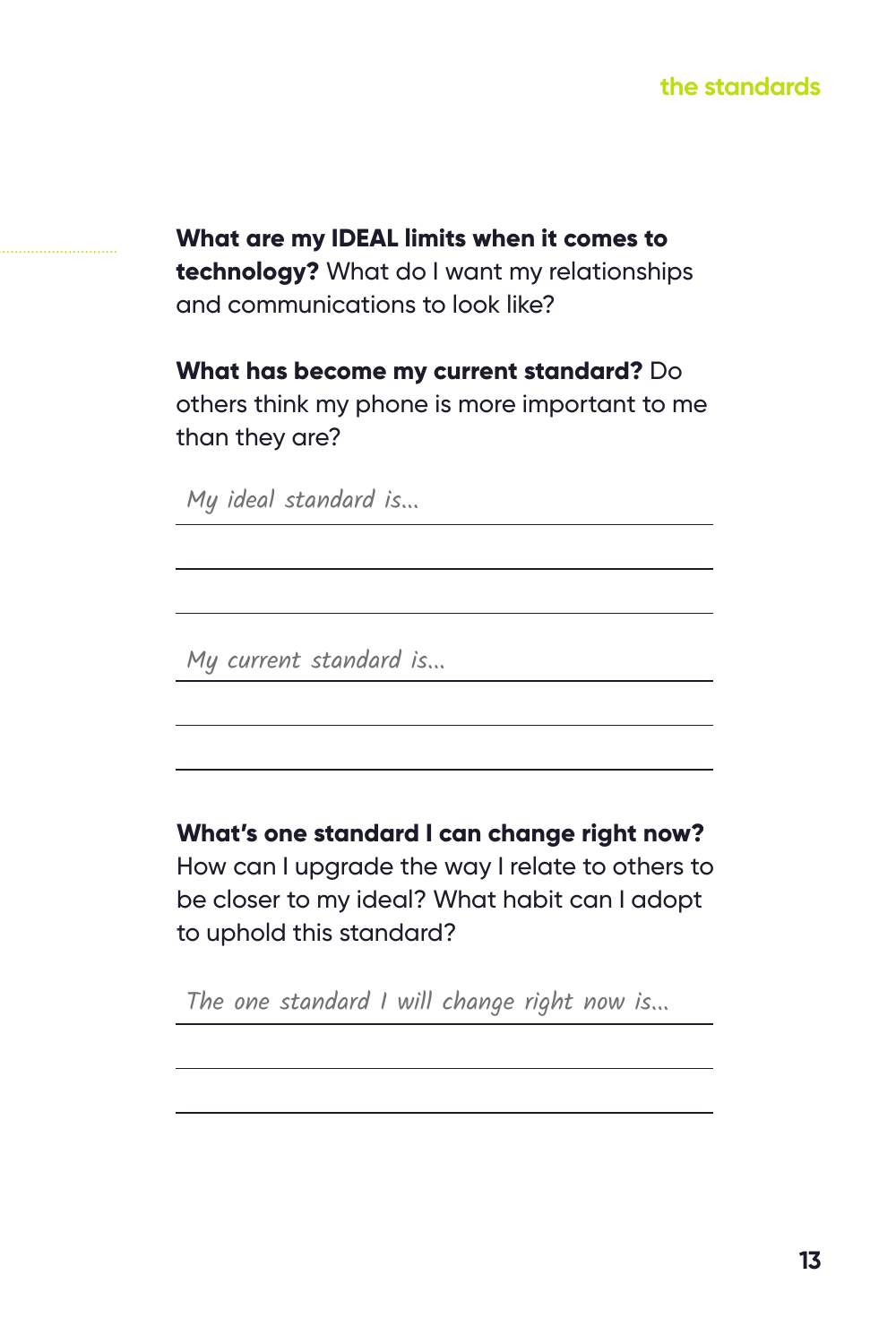#### **the standards**

**What are my IDEAL limits when it comes to technology?** What do I want my relationships and communications to look like?

**What has become my current standard?** Do others think my phone is more important to me than they are?

My ideal standard is...

My current standard is...

**What's one standard I can change right now?** 

How can I upgrade the way I relate to others to be closer to my ideal? What habit can I adopt to uphold this standard?

The one standard I will change right now is...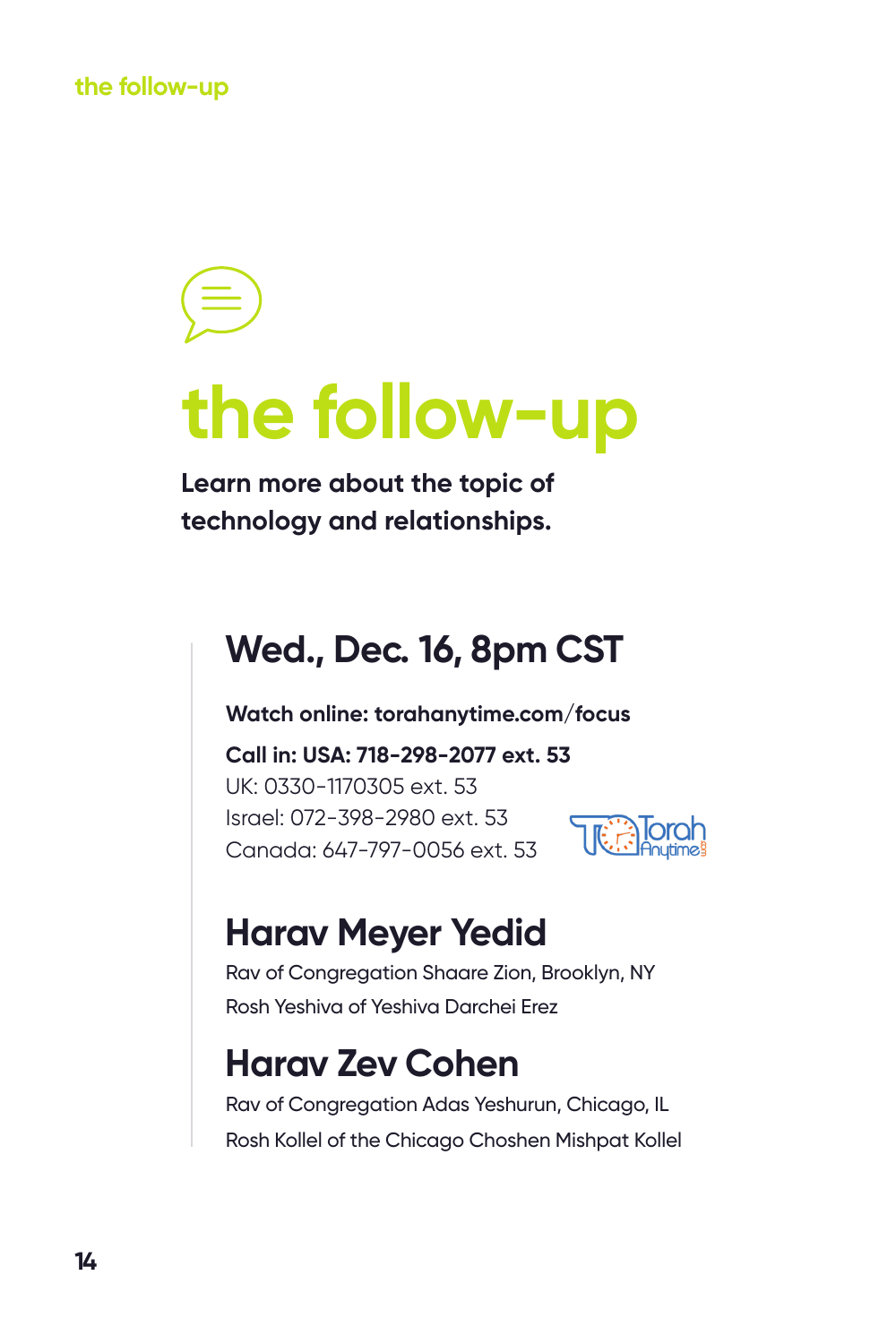**the follow-up**

## **the follow-up**

**Learn more about the topic of technology and relationships.**

### **Wed., Dec. 16, 8pm CST**

**Watch online: torahanytime.com/focus**

**Call in: USA: 718-298-2077 ext. 53** UK: 0330-1170305 ext. 53 Israel: 072-398-2980 ext. 53 Canada: 647-797-0056 ext. 53



### **Harav Meyer Yedid**

Rav of Congregation Shaare Zion, Brooklyn, NY Rosh Yeshiva of Yeshiva Darchei Erez

### **Harav Zev Cohen**

Rav of Congregation Adas Yeshurun, Chicago, IL Rosh Kollel of the Chicago Choshen Mishpat Kollel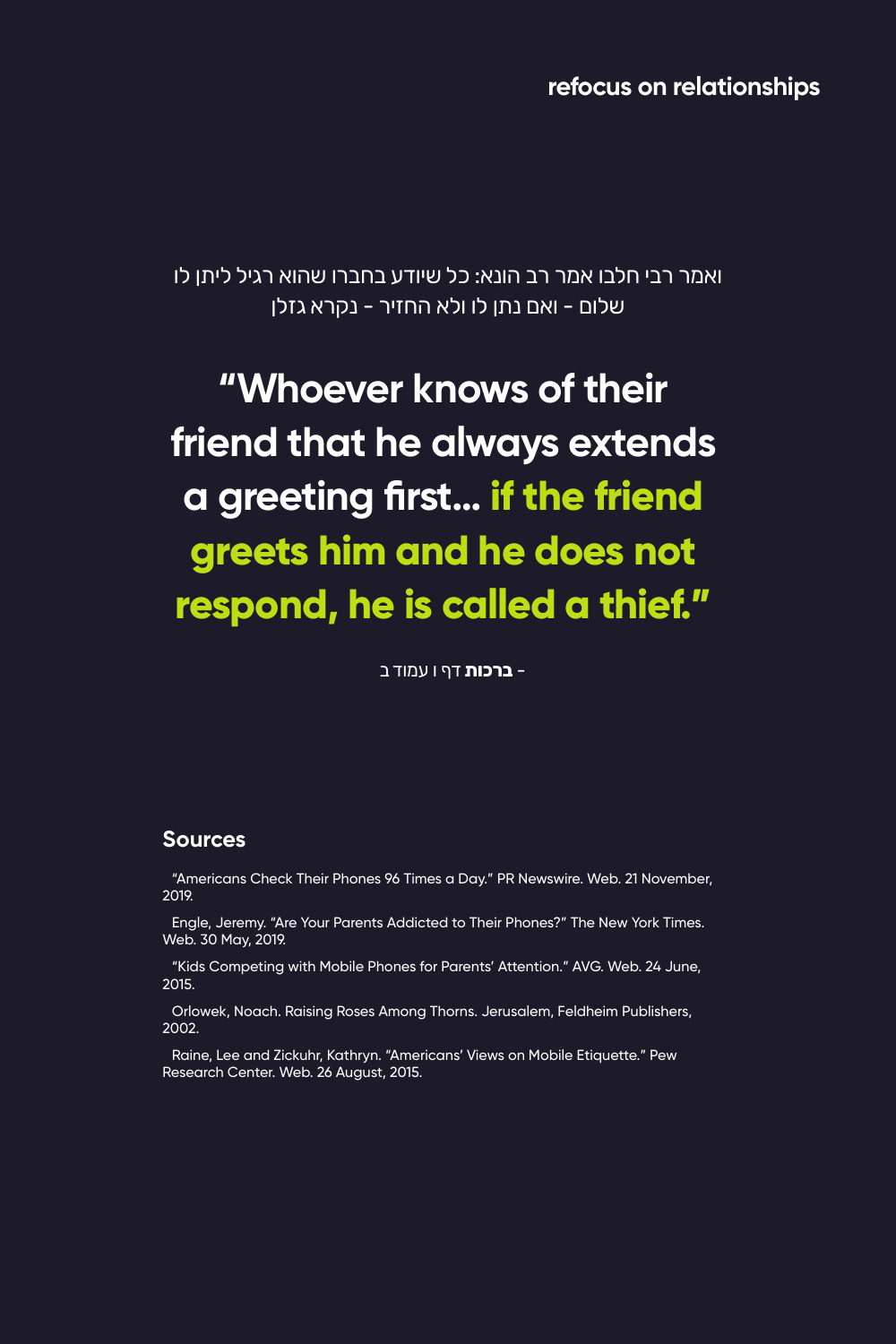**refocus on relationships**

ואמר רבי חלבו אמר רב הונא: כל שיודע בחברו שהוא רגיל ליתן לו שלום - ואם נתן לו ולא החזיר - נקרא גזלן

### **"Whoever knows of their friend that he always extends a greeting first… if the friend greets him and he does not respond, he is called a thief."**

- **ברכות** דף ו עמוד ב

#### **Sources**

"Americans Check Their Phones 96 Times a Day." PR Newswire. Web. 21 November, 2019.

Engle, Jeremy. "Are Your Parents Addicted to Their Phones?" The New York Times. Web. 30 May, 2019.

"Kids Competing with Mobile Phones for Parents' Attention." AVG. Web. 24 June, 2015.

Orlowek, Noach. Raising Roses Among Thorns. Jerusalem, Feldheim Publishers, 2002.

Raine, Lee and Zickuhr, Kathryn. "Americans' Views on Mobile Etiquette." Pew Research Center. Web. 26 August, 2015.